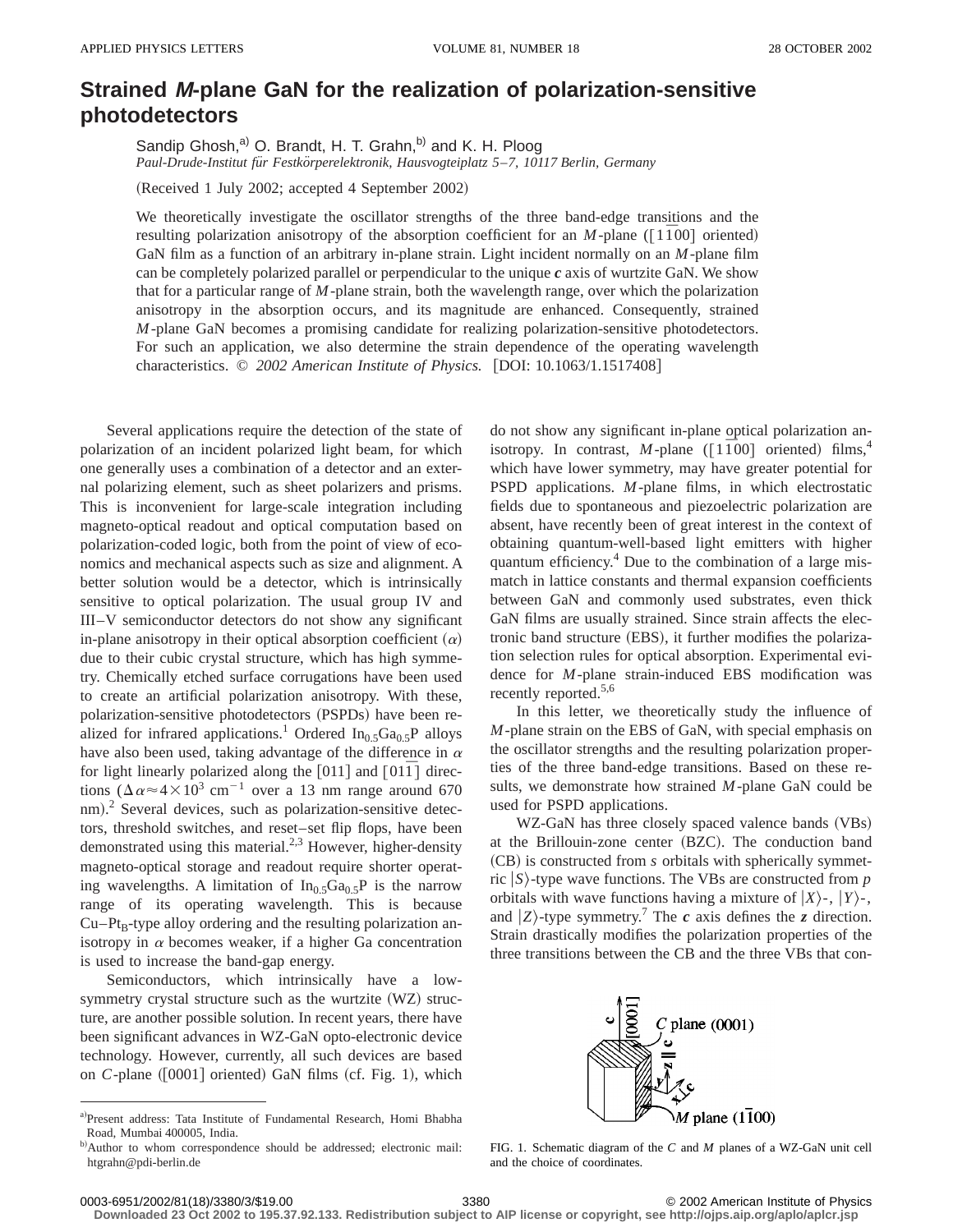## **Strained M-plane GaN for the realization of polarization-sensitive photodetectors**

Sandip Ghosh,<sup>a)</sup> O. Brandt, H. T. Grahn,<sup>b)</sup> and K. H. Ploog *Paul-Drude-Institut fu¨r Festko¨rperelektronik, Hausvogteiplatz 5*–*7, 10117 Berlin, Germany*

(Received 1 July 2002; accepted 4 September 2002)

We theoretically investigate the oscillator strengths of the three band-edge transitions and the resulting polarization anisotropy of the absorption coefficient for an *M*-plane ( $\lceil 1\overline{1}00 \rceil$  oriented) GaN film as a function of an arbitrary in-plane strain. Light incident normally on an *M*-plane film can be completely polarized parallel or perpendicular to the unique *c* axis of wurtzite GaN. We show that for a particular range of *M*-plane strain, both the wavelength range, over which the polarization anisotropy in the absorption occurs, and its magnitude are enhanced. Consequently, strained *M*-plane GaN becomes a promising candidate for realizing polarization-sensitive photodetectors. For such an application, we also determine the strain dependence of the operating wavelength characteristics. © 2002 American Institute of Physics. [DOI: 10.1063/1.1517408]

Several applications require the detection of the state of polarization of an incident polarized light beam, for which one generally uses a combination of a detector and an external polarizing element, such as sheet polarizers and prisms. This is inconvenient for large-scale integration including magneto-optical readout and optical computation based on polarization-coded logic, both from the point of view of economics and mechanical aspects such as size and alignment. A better solution would be a detector, which is intrinsically sensitive to optical polarization. The usual group IV and III–V semiconductor detectors do not show any significant in-plane anisotropy in their optical absorption coefficient  $(\alpha)$ due to their cubic crystal structure, which has high symmetry. Chemically etched surface corrugations have been used to create an artificial polarization anisotropy. With these, polarization-sensitive photodetectors (PSPDs) have been realized for infrared applications.<sup>1</sup> Ordered In<sub>0.5</sub>Ga<sub>0.5</sub>P alloys have also been used, taking advantage of the difference in  $\alpha$ for light linearly polarized along the  $[011]$  and  $[01\bar{1}]$  directions  $(\Delta \alpha \approx 4 \times 10^3 \text{ cm}^{-1})$  over a 13 nm range around 670 nm). $^{2}$  Several devices, such as polarization-sensitive detectors, threshold switches, and reset–set flip flops, have been demonstrated using this material.<sup>2,3</sup> However, higher-density magneto-optical storage and readout require shorter operating wavelengths. A limitation of  $In_0, Ga_0, p$  is the narrow range of its operating wavelength. This is because  $Cu-Pt<sub>B</sub>$ -type alloy ordering and the resulting polarization anisotropy in  $\alpha$  becomes weaker, if a higher Ga concentration is used to increase the band-gap energy.

Semiconductors, which intrinsically have a lowsymmetry crystal structure such as the wurtzite (WZ) structure, are another possible solution. In recent years, there have been significant advances in WZ-GaN opto-electronic device technology. However, currently, all such devices are based on  $C$ -plane  $([0001]$  oriented) GaN films (cf. Fig. 1), which do not show any significant in-plane optical polarization anisotropy. In contrast, *M*-plane ( $[1\overline{1}00]$  oriented) films,<sup>4</sup> which have lower symmetry, may have greater potential for PSPD applications. *M*-plane films, in which electrostatic fields due to spontaneous and piezoelectric polarization are absent, have recently been of great interest in the context of obtaining quantum-well-based light emitters with higher quantum efficiency.<sup>4</sup> Due to the combination of a large mismatch in lattice constants and thermal expansion coefficients between GaN and commonly used substrates, even thick GaN films are usually strained. Since strain affects the electronic band structure (EBS), it further modifies the polarization selection rules for optical absorption. Experimental evidence for *M*-plane strain-induced EBS modification was recently reported.<sup>5,6</sup>

In this letter, we theoretically study the influence of *M*-plane strain on the EBS of GaN, with special emphasis on the oscillator strengths and the resulting polarization properties of the three band-edge transitions. Based on these results, we demonstrate how strained *M*-plane GaN could be used for PSPD applications.

WZ-GaN has three closely spaced valence bands (VBs) at the Brillouin-zone center (BZC). The conduction band (CB) is constructed from *s* orbitals with spherically symmetric  $|S\rangle$ -type wave functions. The VBs are constructed from *p* orbitals with wave functions having a mixture of  $|X\rangle$ -,  $|Y\rangle$ -, and  $|Z\rangle$ -type symmetry.<sup>7</sup> The *c* axis defines the *z* direction. Strain drastically modifies the polarization properties of the three transitions between the CB and the three VBs that con-



FIG. 1. Schematic diagram of the *C* and *M* planes of a WZ-GaN unit cell and the choice of coordinates.

**Downloaded 23 Oct 2002 to 195.37.92.133. Redistribution subject to AIP license or copyright, see http://ojps.aip.org/aplo/aplcr.jsp**

a)Present address: Tata Institute of Fundamental Research, Homi Bhabha Road, Mumbai 400005, India.

b)Author to whom correspondence should be addressed; electronic mail: htgrahn@pdi-berlin.de

<sup>0003-6951/2002/81(18)/3380/3/\$19.00 © 2002</sup> American Institute of Physics 3380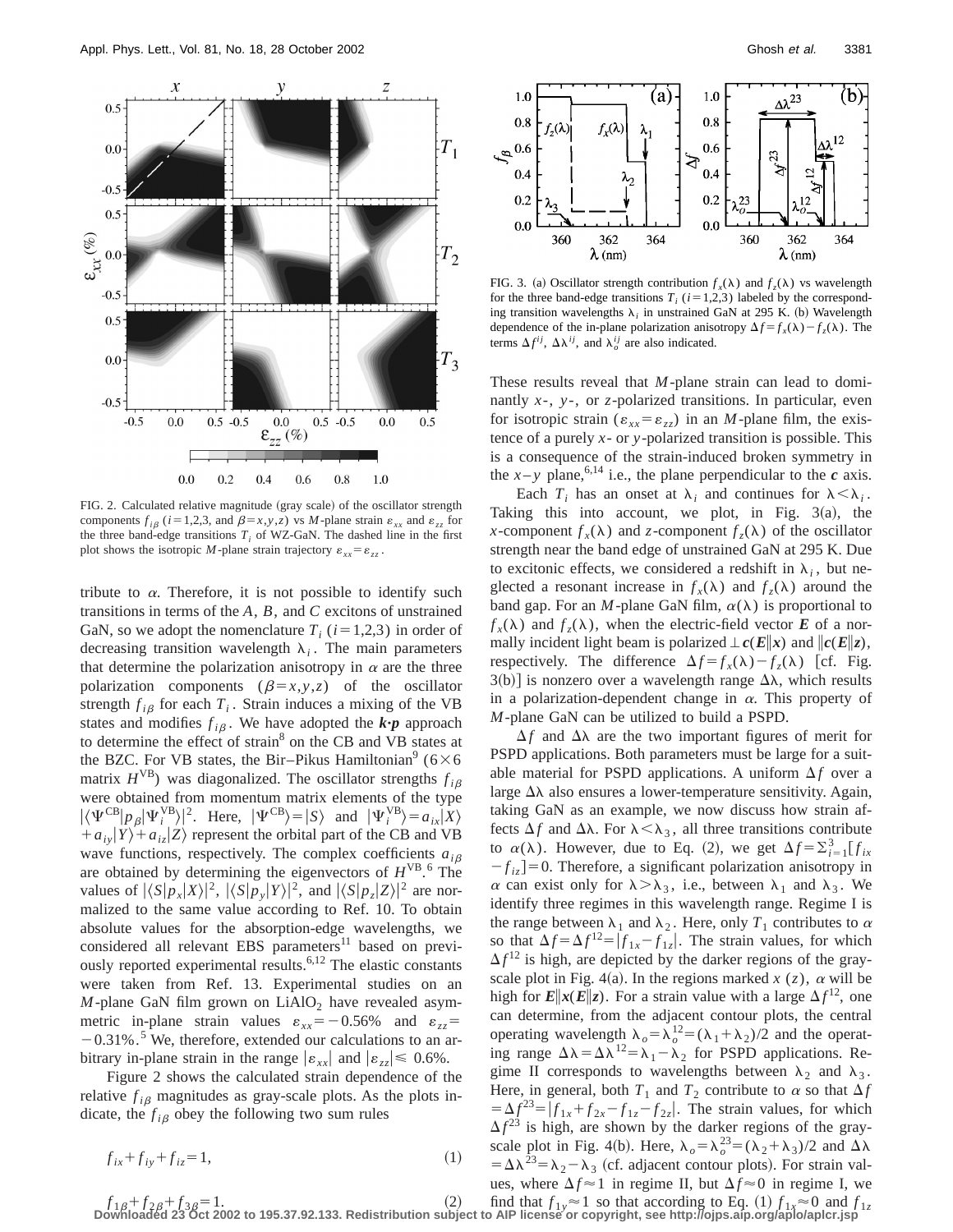

FIG. 2. Calculated relative magnitude (gray scale) of the oscillator strength components  $f_{i\beta}$  ( $i=1,2,3$ , and  $\beta=x,y,z$ ) vs *M*-plane strain  $\varepsilon_{xx}$  and  $\varepsilon_{zz}$  for the three band-edge transitions  $T_i$  of WZ-GaN. The dashed line in the first plot shows the isotropic *M*-plane strain trajectory  $\varepsilon_{xx} = \varepsilon_{zz}$ .

tribute to  $\alpha$ . Therefore, it is not possible to identify such transitions in terms of the *A*, *B*, and *C* excitons of unstrained GaN, so we adopt the nomenclature  $T_i$  ( $i=1,2,3$ ) in order of decreasing transition wavelength  $\lambda_i$ . The main parameters that determine the polarization anisotropy in  $\alpha$  are the three polarization components  $(\beta = x, y, z)$  of the oscillator strength  $f_{i\beta}$  for each  $T_i$ . Strain induces a mixing of the VB states and modifies  $f_{i\beta}$ . We have adopted the  $k \cdot p$  approach to determine the effect of strain<sup>8</sup> on the CB and VB states at the BZC. For VB states, the Bir-Pikus Hamiltonian<sup>9</sup> ( $6 \times 6$ ) matrix  $H<sup>VB</sup>$ ) was diagonalized. The oscillator strengths  $f_{i\beta}$ were obtained from momentum matrix elements of the type  $|\langle \Psi^{\text{CB}} | p_\beta | \Psi_i^{\text{VB}} \rangle|^2$ . Here,  $|\Psi^{\text{CB}} \rangle = |S\rangle$  and  $|\Psi_i^{\text{VB}} \rangle = a_{ix} |X\rangle$  $+a_{i}$  $\ket{Y}+a_{i}$  $\ket{Z}$  represent the orbital part of the CB and VB wave functions, respectively. The complex coefficients  $a_{i\beta}$ are obtained by determining the eigenvectors of  $H<sup>VB</sup>$ <sup>6</sup>. The values of  $|\langle S|p_x|X\rangle|^2$ ,  $|\langle S|p_y|Y\rangle|^2$ , and  $|\langle S|p_z|Z\rangle|^2$  are normalized to the same value according to Ref. 10. To obtain absolute values for the absorption-edge wavelengths, we considered all relevant EBS parameters<sup>11</sup> based on previously reported experimental results.6,12 The elastic constants were taken from Ref. 13. Experimental studies on an  $M$ -plane GaN film grown on  $LiAlO<sub>2</sub>$  have revealed asymmetric in-plane strain values  $\varepsilon_{xx} = -0.56\%$  and  $\varepsilon_{zz} =$  $-0.31\%$ .<sup>5</sup> We, therefore, extended our calculations to an arbitrary in-plane strain in the range  $|\varepsilon_{xx}|$  and  $|\varepsilon_{zz}| \leq 0.6\%$ .

Figure 2 shows the calculated strain dependence of the relative  $f_{i\beta}$  magnitudes as gray-scale plots. As the plots indicate, the  $f_{i\beta}$  obey the following two sum rules

$$
f_{ix} + f_{iy} + f_{iz} = 1,\tag{1}
$$



FIG. 3. (a) Oscillator strength contribution  $f_x(\lambda)$  and  $f_z(\lambda)$  vs wavelength for the three band-edge transitions  $T_i$  ( $i=1,2,3$ ) labeled by the corresponding transition wavelengths  $\lambda_i$  in unstrained GaN at 295 K. (b) Wavelength dependence of the in-plane polarization anisotropy  $\Delta f = f_x(\lambda) - f_y(\lambda)$ . The terms  $\Delta f^{ij}$ ,  $\Delta \lambda^{ij}$ , and  $\lambda_o^{ij}$  are also indicated.

These results reveal that *M*-plane strain can lead to dominantly *x*-, *y*-, or *z*-polarized transitions. In particular, even for isotropic strain ( $\varepsilon_{xx} = \varepsilon_{zz}$ ) in an *M*-plane film, the existence of a purely *x*- or *y*-polarized transition is possible. This is a consequence of the strain-induced broken symmetry in the  $x - y$  plane,<sup>6,14</sup> i.e., the plane perpendicular to the *c* axis.

Each  $T_i$  has an onset at  $\lambda_i$  and continues for  $\lambda < \lambda_i$ . Taking this into account, we plot, in Fig.  $3(a)$ , the *x*-component  $f_x(\lambda)$  and *z*-component  $f_z(\lambda)$  of the oscillator strength near the band edge of unstrained GaN at 295 K. Due to excitonic effects, we considered a redshift in  $\lambda_i$ , but neglected a resonant increase in  $f_x(\lambda)$  and  $f_z(\lambda)$  around the band gap. For an *M*-plane GaN film,  $\alpha(\lambda)$  is proportional to  $f_x(\lambda)$  and  $f_z(\lambda)$ , when the electric-field vector *E* of a normally incident light beam is polarized  $\pm c(E\|x)$  and  $\|c(E\|z)$ , respectively. The difference  $\Delta f = f_x(\lambda) - f_z(\lambda)$  [cf. Fig.  $3(b)$  is nonzero over a wavelength range  $\Delta\lambda$ , which results in a polarization-dependent change in  $\alpha$ . This property of *M*-plane GaN can be utilized to build a PSPD.

 $\Delta f$  and  $\Delta \lambda$  are the two important figures of merit for PSPD applications. Both parameters must be large for a suitable material for PSPD applications. A uniform  $\Delta f$  over a large  $\Delta\lambda$  also ensures a lower-temperature sensitivity. Again, taking GaN as an example, we now discuss how strain affects  $\Delta f$  and  $\Delta \lambda$ . For  $\lambda < \lambda_3$ , all three transitions contribute to  $\alpha(\lambda)$ . However, due to Eq. (2), we get  $\Delta f = \sum_{i=1}^{3} [f_{ix}$  $-f_{iz}$  = 0. Therefore, a significant polarization anisotropy in  $\alpha$  can exist only for  $\lambda > \lambda_3$ , i.e., between  $\lambda_1$  and  $\lambda_3$ . We identify three regimes in this wavelength range. Regime I is the range between  $\lambda_1$  and  $\lambda_2$ . Here, only  $T_1$  contributes to  $\alpha$ so that  $\Delta f = \Delta f^{12} = |f_{1x} - f_{1z}|$ . The strain values, for which  $\Delta f^{12}$  is high, are depicted by the darker regions of the grayscale plot in Fig. 4(a). In the regions marked  $x(z)$ ,  $\alpha$  will be high for  $E\Vert x(E\Vert z)$ . For a strain value with a large  $\Delta f^{12}$ , one can determine, from the adjacent contour plots, the central operating wavelength  $\lambda_o = \lambda_o^{12} = (\lambda_1 + \lambda_2)/2$  and the operating range  $\Delta\lambda = \Delta\lambda^{12} = \lambda_1 - \lambda_2$  for PSPD applications. Regime II corresponds to wavelengths between  $\lambda_2$  and  $\lambda_3$ . Here, in general, both  $T_1$  and  $T_2$  contribute to  $\alpha$  so that  $\Delta f$  $= \Delta f^{23} = |f_{1x} + f_{2x} - f_{1z} - f_{2z}|$ . The strain values, for which  $\Delta f^{23}$  is high, are shown by the darker regions of the grayscale plot in Fig. 4(b). Here,  $\lambda_o = \lambda_o^{23} = (\lambda_2 + \lambda_3)/2$  and  $\Delta \lambda$  $= \Delta \lambda^{23} = \lambda_2 - \lambda_3$  (cf. adjacent contour plots). For strain values, where  $\Delta f \approx 1$  in regime II, but  $\Delta f \approx 0$  in regime I, we

 $f_{1\beta}+f_{2\beta}+f_{3\beta}=1.$  (2) find that  $f_{1y} \approx 1$  so that according to Eq. (1)  $f_{1x} \approx 0$  and  $f_{1z}$ <br>Downloaded 23 Oct 2002 to 195.37.92.133. Redistribution subject to AIP license or copyright, see http://ojps.aip.org/